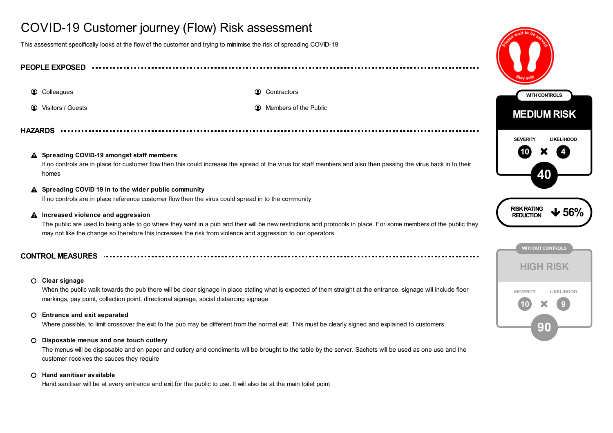# COVID-19 Customer journey (Flow) Risk assessment

This assessment specifically looks at the flow of the customer and trying to minimise the risk of spreading COVID-19

# **PEOPLE EXPOSED**

**1** Colleagues **Contractors Contractors Contractors** 

**1** Visitors / Guests **Members** of the Public **Contract of the Public Contract of the Public Contract of the Public** 

**HAZARDS**

#### **Spreading COVID-19 amongst staff members** If no controls are in place for customer flow then this could increase the spread of the virus for staff members and also then passing the virus back in to their homes

### **Spreading COVID 19 in to the wider public community**

If no controls are in place reference customer flow then the virus could spread in to the community

#### **Increased violence and aggression**  $\blacktriangle$

The public are used to being able to go where they want in a pub and their will be new restrictions and protocols in place. For some members of the public they may not like the change so therefore this increases the risk from violence and aggression to our operators

## **CONTROL MEASURES**

#### **Clear signage**

When the public walk towards the pub there will be clear signage in place stating what is expected of them straight at the entrance. signage will include floor markings, pay point, collection point, directional signage, social distancing signage

### **Entrance and exit separated**

Where possible, to limit crossover the exit to the pub may be different from the normal exit. This must be clearly signed and explained to customers

#### **Disposable menus and one touch cutlery**  $\circ$

The menus will be disposable and on paper and cutlery and condiments will be brought to the table by the server. Sachets will be used as one use and the customer receives the sauces they require

#### **Hand sanitiser available**

Hand sanitiser will be at every entrance and exit for the public to use. It will also be at the main toilet point